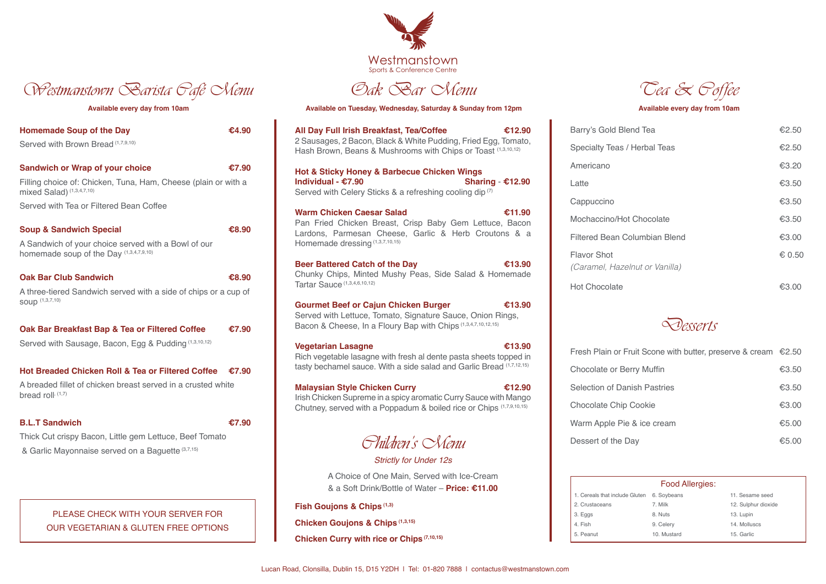| <b>Homemade Soup of the Day</b><br>Served with Brown Bread (1,7,9,10)                                                                                                            | €4.90                                          |
|----------------------------------------------------------------------------------------------------------------------------------------------------------------------------------|------------------------------------------------|
| <b>Sandwich or Wrap of your choice</b><br>Filling choice of: Chicken, Tuna, Ham, Cheese (plain or with a<br>mixed Salad) (1,3,4,7,10)<br>Served with Tea or Filtered Bean Coffee | €7.90                                          |
| <b>Soup &amp; Sandwich Special</b><br>A Sandwich of your choice served with a Bowl of our<br>homemade soup of the Day (1,3,4,7,9,10)                                             | €8.90                                          |
| <b>Oak Bar Club Sandwich</b><br>A three-tiered Sandwich served with a side of chips or a cup of<br>SOUP (1,3,7,10)                                                               | €8.90                                          |
| Oak Bar Breakfast Bap & Tea or Filtered Coffee<br>Served with Sausage, Bacon, Egg & Pudding (1,3,10,12)                                                                          | €7.90                                          |
| <b>Hot Breaded Chicken Roll &amp; Tea or Filtered Coffee</b><br>A breaded fillet of chicken breast served in a crusted white<br>bread roll, (1,7)                                | $\textcolor{blue}{\textbf{\textsterling}}7.90$ |
| <b>B.L.T Sandwich</b><br>Thick Cut crispy Bacon, Little gem Lettuce, Beef Tomato<br>& Garlic Mayonnaise served on a Baguette (3,7,15)                                            | £7.90                                          |

Oak Bar Menu

Available every day from 10am **Available on Tuesday, Wednesday, Saturday & Sunday from 12pm** Available every day from 10am

| All Day Full Irish Breakfast, Tea/Coffee<br>€12.90                                                                                                                                   | Barry's Gol               |
|--------------------------------------------------------------------------------------------------------------------------------------------------------------------------------------|---------------------------|
| 2 Sausages, 2 Bacon, Black & White Pudding, Fried Egg, Tomato,<br>Hash Brown, Beans & Mushrooms with Chips or Toast (1,3,10,12)                                                      | Specialty T               |
| Hot & Sticky Honey & Barbecue Chicken Wings                                                                                                                                          | Americano                 |
| Individual - €7.90<br>Sharing - $£12.90$                                                                                                                                             | Latte                     |
| Served with Celery Sticks & a refreshing cooling dip <sup>(7)</sup>                                                                                                                  | Cappuccino                |
| <b>Warm Chicken Caesar Salad</b><br>€11.90<br>Pan Fried Chicken Breast, Crisp Baby Gem Lettuce, Bacon                                                                                | <b>Mochaccino</b>         |
| Lardons, Parmesan Cheese, Garlic & Herb Croutons & a<br>Homemade dressing (1,3,7,10,15)                                                                                              | <b>Filtered Be</b>        |
| €13.90<br><b>Beer Battered Catch of the Day</b>                                                                                                                                      | Flavor Sho<br>(Caramel, I |
| Chunky Chips, Minted Mushy Peas, Side Salad & Homemade<br>Tartar Sauce (1,3,4,6,10,12)                                                                                               | <b>Hot Chocol</b>         |
| <b>Gourmet Beef or Cajun Chicken Burger</b><br>€13.90<br>Served with Lettuce, Tomato, Signature Sauce, Onion Rings,<br>Bacon & Cheese, In a Floury Bap with Chips (1,3,4,7,10,12,15) |                           |
| €13.90<br><b>Vegetarian Lasagne</b><br>Rich vegetable lasagne with fresh al dente pasta sheets topped in                                                                             | <b>Fresh Plain</b>        |
| tasty bechamel sauce. With a side salad and Garlic Bread (1,7,12,15)                                                                                                                 | Chocolate                 |
| <b>Malaysian Style Chicken Curry</b><br>€12.90                                                                                                                                       | Selection o               |
| Irish Chicken Supreme in a spicy aromatic Curry Sauce with Mango<br>Chutney, served with a Poppadum & boiled rice or Chips (1,7,9,10,15)                                             | Chocolate                 |
|                                                                                                                                                                                      | Warm Appl                 |
| <i>Phildren's</i> SMenu                                                                                                                                                              | Dessert of                |
| <b>Strictly for Under 12s</b>                                                                                                                                                        |                           |
| A Choice of One Main, Served with Ice-Cream                                                                                                                                          |                           |
| & a Soft Drink/Bottle of Water – Price: €11.00                                                                                                                                       |                           |

**Fish Goujons & Chips (1,3)**

**Chicken Goujons & Chips (1,3,15)**

**Chicken Curry with rice or Chips (7,10,15)** 

Flavor Shot **Caramel, Hazi** 

Hot Chocolate <del>€3.00</del>

Fresh Plain or F Chocolate or B Selection of Da Chocolate Chip Varm Apple Pi Dessert of the



| Barry's Gold Blend Tea                               | €2.50  |
|------------------------------------------------------|--------|
| <b>Specialty Teas / Herbal Teas</b>                  | €2.50  |
| Americano                                            | €3.20  |
| Latte                                                | €3.50  |
| Cappuccino                                           | €3.50  |
| Mochaccino/Hot Chocolate                             | €3.50  |
| <b>Filtered Bean Columbian Blend</b>                 | €3.00  |
| <b>Flavor Shot</b><br>(Caramel, Hazelnut or Vanilla) | € 0.50 |



| erry Muffin    | €3.50 |
|----------------|-------|
| anish Pastries | €3.50 |
| o Cookie       | €3.00 |
| e & ice cream  | €5.00 |
| Day            | €5.00 |



## PLEASE CHECK WITH YOUR SERVER FOR OUR VEGETARIAN & GLUTEN FREE OPTIONS

| 1. Cereals that include Gluten |
|--------------------------------|
| 2. Crustaceans                 |
| 3. Eqs                         |

- 4. Fish
- 5. Peanut

Westmanstown Barista *Pafé* Nenu

|           | <b>Food Allergies:</b> |                     |
|-----------|------------------------|---------------------|
| le Gluten | 6. Soybeans            | 11. Sesame seed     |
|           | 7. Milk                | 12. Sulphur dioxide |
|           | 8. Nuts                | 13. Lupin           |
|           | 9. Celery              | 14. Molluscs        |
|           | 10. Mustard            | 15. Garlic          |